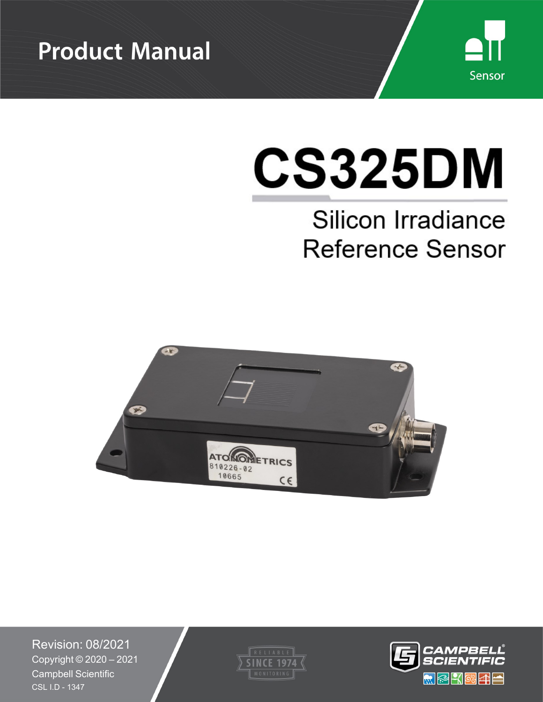



# **CS325DM**

# Silicon Irradiance **Reference Sensor**



Revision: 08/2021 Copyright © 2020 – 2021 Campbell Scientific CSL I.D - 1347



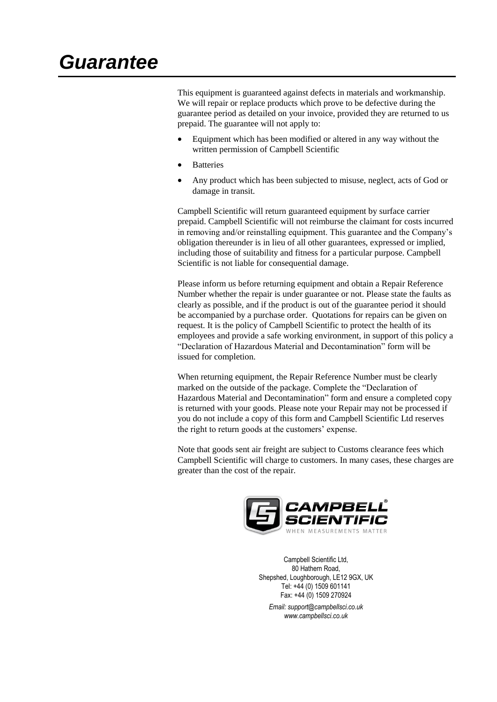This equipment is guaranteed against defects in materials and workmanship. We will repair or replace products which prove to be defective during the guarantee period as detailed on your invoice, provided they are returned to us prepaid. The guarantee will not apply to:

- Equipment which has been modified or altered in any way without the written permission of Campbell Scientific
- **Batteries**
- Any product which has been subjected to misuse, neglect, acts of God or damage in transit.

Campbell Scientific will return guaranteed equipment by surface carrier prepaid. Campbell Scientific will not reimburse the claimant for costs incurred in removing and/or reinstalling equipment. This guarantee and the Company's obligation thereunder is in lieu of all other guarantees, expressed or implied, including those of suitability and fitness for a particular purpose. Campbell Scientific is not liable for consequential damage.

Please inform us before returning equipment and obtain a Repair Reference Number whether the repair is under guarantee or not. Please state the faults as clearly as possible, and if the product is out of the guarantee period it should be accompanied by a purchase order. Quotations for repairs can be given on request. It is the policy of Campbell Scientific to protect the health of its employees and provide a safe working environment, in support of this policy a "Declaration of Hazardous Material and Decontamination" form will be issued for completion.

When returning equipment, the Repair Reference Number must be clearly marked on the outside of the package. Complete the "Declaration of Hazardous Material and Decontamination" form and ensure a completed copy is returned with your goods. Please note your Repair may not be processed if you do not include a copy of this form and Campbell Scientific Ltd reserves the right to return goods at the customers' expense.

Note that goods sent air freight are subject to Customs clearance fees which Campbell Scientific will charge to customers. In many cases, these charges are greater than the cost of the repair.



Campbell Scientific Ltd, 80 Hathern Road, Shepshed, Loughborough, LE12 9GX, UK Tel: +44 (0) 1509 601141 Fax: +44 (0) 1509 270924 *Email: support@campbellsci.co.uk www.campbellsci.co.uk*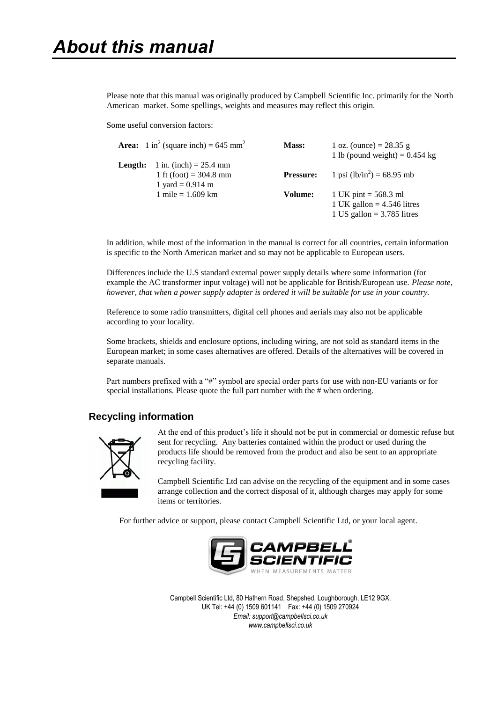Please note that this manual was originally produced by Campbell Scientific Inc. primarily for the North American market. Some spellings, weights and measures may reflect this origin.

Some useful conversion factors:

|         | <b>Area:</b> 1 in <sup>2</sup> (square inch) = 645 mm <sup>2</sup>         | Mass:            | 1 oz. (ounce) = $28.35$ g<br>1 lb (pound weight) = $0.454$ kg                          |
|---------|----------------------------------------------------------------------------|------------------|----------------------------------------------------------------------------------------|
| Length: | 1 in. (inch) = $25.4$ mm<br>1 ft (foot) = $304.8$ mm<br>1 yard = $0.914$ m | <b>Pressure:</b> | 1 psi $(lb/in^2) = 68.95$ mb                                                           |
|         | 1 mile = $1.609$ km                                                        | Volume:          | 1 UK pint = $568.3$ ml<br>1 UK gallon = $4.546$ litres<br>1 US gallon = $3.785$ litres |

In addition, while most of the information in the manual is correct for all countries, certain information is specific to the North American market and so may not be applicable to European users.

Differences include the U.S standard external power supply details where some information (for example the AC transformer input voltage) will not be applicable for British/European use. *Please note, however, that when a power supply adapter is ordered it will be suitable for use in your country.* 

Reference to some radio transmitters, digital cell phones and aerials may also not be applicable according to your locality.

Some brackets, shields and enclosure options, including wiring, are not sold as standard items in the European market; in some cases alternatives are offered. Details of the alternatives will be covered in separate manuals.

Part numbers prefixed with a "#" symbol are special order parts for use with non-EU variants or for special installations. Please quote the full part number with the # when ordering.

### **Recycling information**



At the end of this product's life it should not be put in commercial or domestic refuse but sent for recycling. Any batteries contained within the product or used during the products life should be removed from the product and also be sent to an appropriate recycling facility.

Campbell Scientific Ltd can advise on the recycling of the equipment and in some cases arrange collection and the correct disposal of it, although charges may apply for some items or territories.

For further advice or support, please contact Campbell Scientific Ltd, or your local agent.



Campbell Scientific Ltd, 80 Hathern Road, Shepshed, Loughborough, LE12 9GX, UK Tel: +44 (0) 1509 601141 Fax: +44 (0) 1509 270924 *Email: support@campbellsci.co.uk www.campbellsci.co.uk*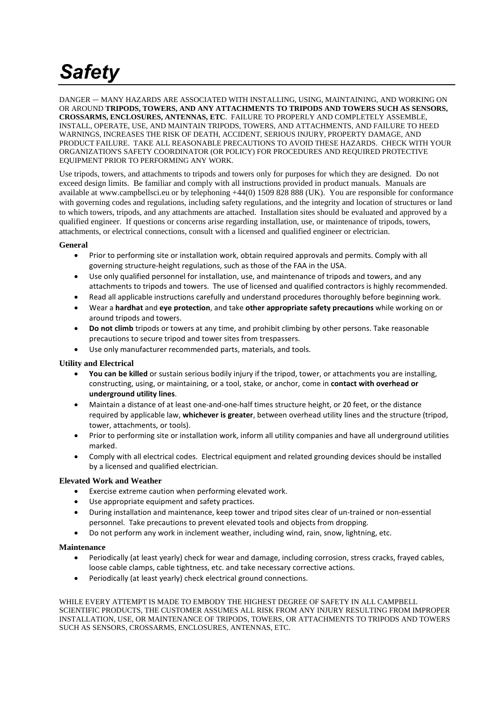# *Safety*

DANGER — MANY HAZARDS ARE ASSOCIATED WITH INSTALLING, USING, MAINTAINING, AND WORKING ON OR AROUND **TRIPODS, TOWERS, AND ANY ATTACHMENTS TO TRIPODS AND TOWERS SUCH AS SENSORS, CROSSARMS, ENCLOSURES, ANTENNAS, ETC**. FAILURE TO PROPERLY AND COMPLETELY ASSEMBLE, INSTALL, OPERATE, USE, AND MAINTAIN TRIPODS, TOWERS, AND ATTACHMENTS, AND FAILURE TO HEED WARNINGS, INCREASES THE RISK OF DEATH, ACCIDENT, SERIOUS INJURY, PROPERTY DAMAGE, AND PRODUCT FAILURE. TAKE ALL REASONABLE PRECAUTIONS TO AVOID THESE HAZARDS. CHECK WITH YOUR ORGANIZATION'S SAFETY COORDINATOR (OR POLICY) FOR PROCEDURES AND REQUIRED PROTECTIVE EQUIPMENT PRIOR TO PERFORMING ANY WORK.

Use tripods, towers, and attachments to tripods and towers only for purposes for which they are designed. Do not exceed design limits. Be familiar and comply with all instructions provided in product manuals. Manuals are available at www.campbellsci.eu or by telephoning +44(0) 1509 828 888 (UK). You are responsible for conformance with governing codes and regulations, including safety regulations, and the integrity and location of structures or land to which towers, tripods, and any attachments are attached. Installation sites should be evaluated and approved by a qualified engineer. If questions or concerns arise regarding installation, use, or maintenance of tripods, towers, attachments, or electrical connections, consult with a licensed and qualified engineer or electrician.

### **General**

- Prior to performing site or installation work, obtain required approvals and permits. Comply with all governing structure-height regulations, such as those of the FAA in the USA.
- Use only qualified personnel for installation, use, and maintenance of tripods and towers, and any attachments to tripods and towers. The use of licensed and qualified contractors is highly recommended.
- Read all applicable instructions carefully and understand procedures thoroughly before beginning work.
- Wear a **hardhat** and **eye protection**, and take **other appropriate safety precautions** while working on or around tripods and towers.
- **Do not climb** tripods or towers at any time, and prohibit climbing by other persons. Take reasonable precautions to secure tripod and tower sites from trespassers.
- Use only manufacturer recommended parts, materials, and tools.

### **Utility and Electrical**

- **You can be killed** or sustain serious bodily injury if the tripod, tower, or attachments you are installing, constructing, using, or maintaining, or a tool, stake, or anchor, come in **contact with overhead or underground utility lines**.
- Maintain a distance of at least one-and-one-half times structure height, or 20 feet, or the distance required by applicable law, **whichever is greater**, between overhead utility lines and the structure (tripod, tower, attachments, or tools).
- Prior to performing site or installation work, inform all utility companies and have all underground utilities marked.
- Comply with all electrical codes. Electrical equipment and related grounding devices should be installed by a licensed and qualified electrician.

### **Elevated Work and Weather**

- Exercise extreme caution when performing elevated work.
- Use appropriate equipment and safety practices.
- During installation and maintenance, keep tower and tripod sites clear of un-trained or non-essential personnel. Take precautions to prevent elevated tools and objects from dropping.
- Do not perform any work in inclement weather, including wind, rain, snow, lightning, etc.

### **Maintenance**

- Periodically (at least yearly) check for wear and damage, including corrosion, stress cracks, frayed cables, loose cable clamps, cable tightness, etc. and take necessary corrective actions.
- Periodically (at least yearly) check electrical ground connections.

#### WHILE EVERY ATTEMPT IS MADE TO EMBODY THE HIGHEST DEGREE OF SAFETY IN ALL CAMPBELL SCIENTIFIC PRODUCTS, THE CUSTOMER ASSUMES ALL RISK FROM ANY INJURY RESULTING FROM IMPROPER INSTALLATION, USE, OR MAINTENANCE OF TRIPODS, TOWERS, OR ATTACHMENTS TO TRIPODS AND TOWERS SUCH AS SENSORS, CROSSARMS, ENCLOSURES, ANTENNAS, ETC.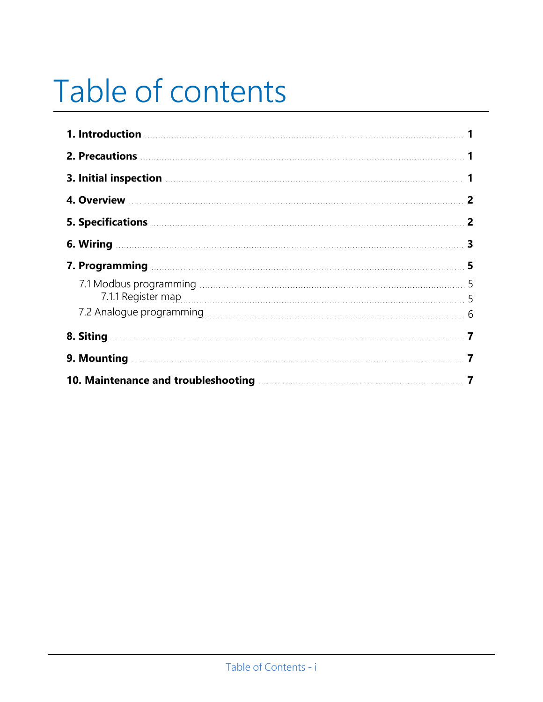# Table of contents

| 1. Introduction <b>contracts</b> and the contract of the contract of the contract of the contract of the contract of the contract of the contract of the contract of the contract of the contract of the contract of the contract o |                         |
|-------------------------------------------------------------------------------------------------------------------------------------------------------------------------------------------------------------------------------------|-------------------------|
|                                                                                                                                                                                                                                     |                         |
| 3. Initial inspection <b>Manufacture 1</b> 1                                                                                                                                                                                        |                         |
|                                                                                                                                                                                                                                     |                         |
| 5. Specifications 220 and 2010 10:00 10:00 10:00 10:00 10:00 10:00 10:00 10:00 10:00 10:00 10:00 10:00 10:00 1                                                                                                                      |                         |
|                                                                                                                                                                                                                                     | $\overline{\mathbf{3}}$ |
|                                                                                                                                                                                                                                     | 5                       |
|                                                                                                                                                                                                                                     |                         |
| 7.1.1 Register map 5                                                                                                                                                                                                                |                         |
|                                                                                                                                                                                                                                     | 6                       |
|                                                                                                                                                                                                                                     |                         |
|                                                                                                                                                                                                                                     |                         |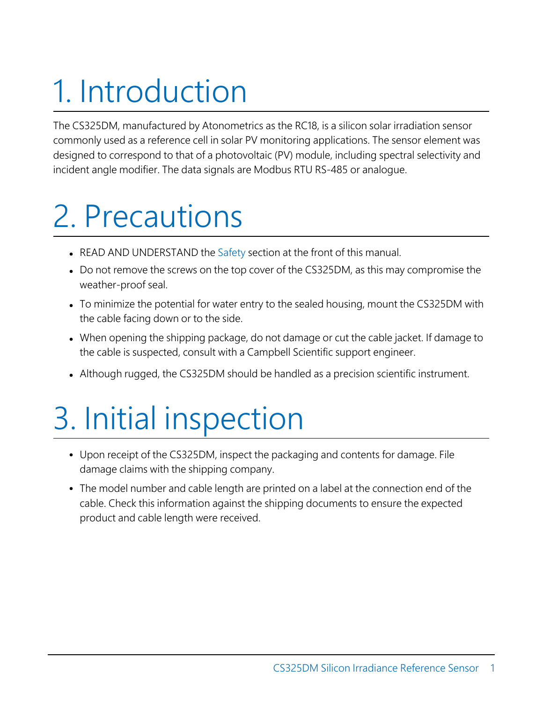# <span id="page-5-0"></span>1. Introduction

<span id="page-5-1"></span>The CS325DM, manufactured by Atonometrics as the RC18, is a silicon solar irradiation sensor commonly used as a reference cell in solar PV monitoring applications. The sensor element was designed to correspond to that of a photovoltaic (PV) module, including spectral selectivity and incident angle modifier. The data signals are Modbus RTU RS-485 or analogue.

# 2. Precautions

- READ AND UNDERSTAND the Safety section at the front of this manual.
- Do not remove the screws on the top cover of the CS325DM, as this may compromise the weather-proof seal.
- To minimize the potential for water entry to the sealed housing, mount the CS325DM with the cable facing down or to the side.
- When opening the shipping package, do not damage or cut the cable jacket. If damage to the cable is suspected, consult with a Campbell Scientific support engineer.
- <span id="page-5-2"></span>• Although rugged, the CS325DM should be handled as a precision scientific instrument.

# 3. Initial inspection

- Upon receipt of the CS325DM, inspect the packaging and contents for damage. File damage claims with the shipping company.
- The model number and cable length are printed on a label at the connection end of the cable. Check this information against the shipping documents to ensure the expected product and cable length were received.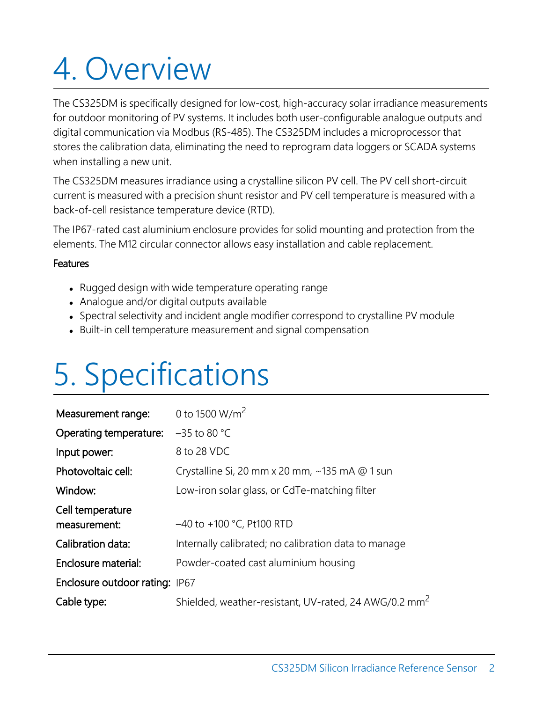# <span id="page-6-0"></span>4. Overview

The CS325DM is specifically designed for low-cost, high-accuracy solar irradiance measurements for outdoor monitoring of PV systems. It includes both user-configurable analogue outputs and digital communication via Modbus (RS-485). The CS325DM includes a microprocessor that stores the calibration data, eliminating the need to reprogram data loggers or SCADA systems when installing a new unit.

The CS325DM measures irradiance using a crystalline silicon PV cell. The PV cell short-circuit current is measured with a precision shunt resistor and PV cell temperature is measured with a back-of-cell resistance temperature device (RTD).

The IP67-rated cast aluminium enclosure provides for solid mounting and protection from the elements. The M12 circular connector allows easy installation and cable replacement.

# **Features**

- Rugged design with wide temperature operating range
- Analogue and/or digital outputs available
- <span id="page-6-1"></span>• Spectral selectivity and incident angle modifier correspond to crystalline PV module
- Built-in cell temperature measurement and signal compensation

# 5. Specifications

| Measurement range:                    | 0 to 1500 W/m <sup>2</sup>                                        |
|---------------------------------------|-------------------------------------------------------------------|
| Operating temperature:                | $-35$ to 80 °C                                                    |
| Input power:                          | 8 to 28 VDC                                                       |
| Photovoltaic cell:                    | Crystalline Si, 20 mm x 20 mm, $\sim$ 135 mA @ 1 sun              |
| Window:                               | Low-iron solar glass, or CdTe-matching filter                     |
| Cell temperature<br>measurement:      | $-40$ to $+100$ °C, Pt100 RTD                                     |
| Calibration data:                     | Internally calibrated; no calibration data to manage              |
| Enclosure material:                   | Powder-coated cast aluminium housing                              |
| <b>Enclosure outdoor rating: IP67</b> |                                                                   |
| Cable type:                           | Shielded, weather-resistant, UV-rated, 24 AWG/0.2 mm <sup>2</sup> |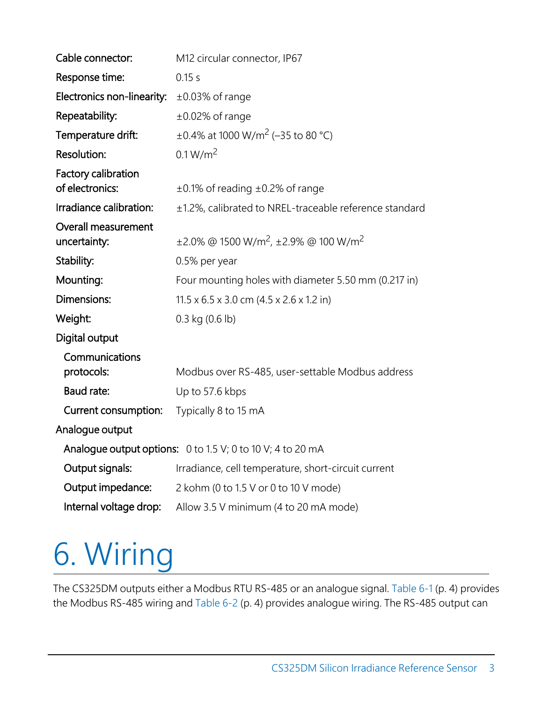| Cable connector:                           | M12 circular connector, IP67                                           |  |
|--------------------------------------------|------------------------------------------------------------------------|--|
| Response time:                             | 0.15s                                                                  |  |
| Electronics non-linearity:                 | $\pm 0.03\%$ of range                                                  |  |
| Repeatability:                             | $\pm 0.02\%$ of range                                                  |  |
| Temperature drift:                         | $\pm 0.4\%$ at 1000 W/m <sup>2</sup> (-35 to 80 °C)                    |  |
| <b>Resolution:</b>                         | 0.1 W/m <sup>2</sup>                                                   |  |
| Factory calibration<br>of electronics:     | $\pm$ 0.1% of reading $\pm$ 0.2% of range                              |  |
| Irradiance calibration:                    | ±1.2%, calibrated to NREL-traceable reference standard                 |  |
| <b>Overall measurement</b><br>uncertainty: | $\pm$ 2.0% @ 1500 W/m <sup>2</sup> , $\pm$ 2.9% @ 100 W/m <sup>2</sup> |  |
| Stability:                                 | 0.5% per year                                                          |  |
| Mounting:                                  | Four mounting holes with diameter 5.50 mm (0.217 in)                   |  |
| Dimensions:                                | $11.5 \times 6.5 \times 3.0$ cm $(4.5 \times 2.6 \times 1.2)$ in       |  |
| Weight:                                    | $0.3$ kg $(0.6$ lb)                                                    |  |
| Digital output                             |                                                                        |  |
| Communications<br>protocols:               | Modbus over RS-485, user-settable Modbus address                       |  |
| <b>Baud rate:</b>                          | Up to 57.6 kbps                                                        |  |
| Current consumption:                       | Typically 8 to 15 mA                                                   |  |
| Analogue output                            |                                                                        |  |
|                                            | Analogue output options: $0$ to 1.5 V; 0 to 10 V; 4 to 20 mA           |  |
| Output signals:                            | Irradiance, cell temperature, short-circuit current                    |  |
| Output impedance:                          | 2 kohm (0 to 1.5 V or 0 to 10 V mode)                                  |  |
| Internal voltage drop:                     | Allow 3.5 V minimum (4 to 20 mA mode)                                  |  |

# <span id="page-7-0"></span>6. Wiring

The CS325DM outputs either a Modbus RTU RS-485 or an analogue signal. [Table](#page-8-0) 6-1 (p. 4) provides the Modbus RS-485 wiring and [Table](#page-8-1) 6-2 (p. 4) provides analogue wiring. The RS-485 output can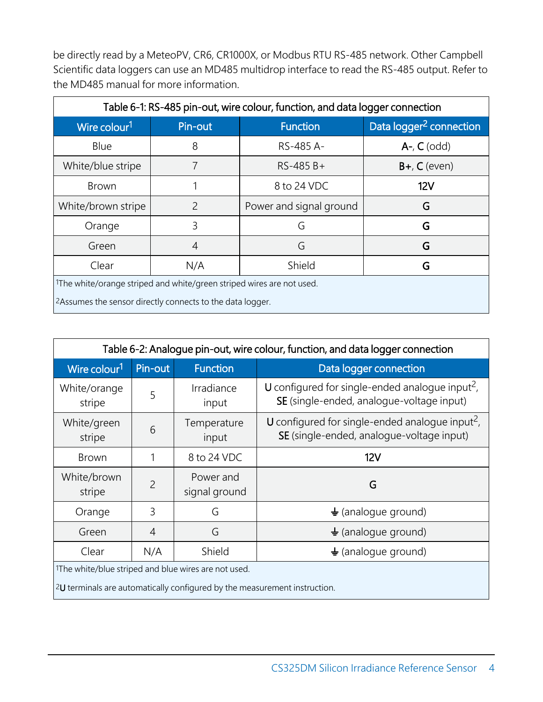be directly read by a MeteoPV, CR6, CR1000X, or Modbus RTU RS-485 network. Other Campbell Scientific data loggers can use an MD485 multidrop interface to read the RS-485 output. Refer to the MD485 manual for more information.

<span id="page-8-0"></span>

| Table 6-1: RS-485 pin-out, wire colour, function, and data logger connection |                |                         |                                     |
|------------------------------------------------------------------------------|----------------|-------------------------|-------------------------------------|
| Wire colour <sup>1</sup>                                                     | Pin-out        | <b>Function</b>         | Data logger <sup>2</sup> connection |
| Blue                                                                         | 8              | RS-485 A-               | $A$ -, $C$ (odd)                    |
| White/blue stripe                                                            | 7              | $RS-485B+$              | $B+$ , $C$ (even)                   |
| <b>Brown</b>                                                                 |                | 8 to 24 VDC             | 12V                                 |
| White/brown stripe                                                           | $\overline{2}$ | Power and signal ground | G                                   |
| Orange                                                                       | 3              | G                       | G                                   |
| Green                                                                        | $\overline{4}$ | G                       | G                                   |
| Clear                                                                        | N/A            | Shield                  | G                                   |
| 1The white/orange striped and white/green striped wires are not used.        |                |                         |                                     |
| <sup>2</sup> Assumes the sensor directly connects to the data logger.        |                |                         |                                     |

<span id="page-8-1"></span>

| Table 6-2: Analogue pin-out, wire colour, function, and data logger connection                                                      |                |                            |                                                                                                          |
|-------------------------------------------------------------------------------------------------------------------------------------|----------------|----------------------------|----------------------------------------------------------------------------------------------------------|
| Wire colour <sup>1</sup>                                                                                                            | Pin-out        | <b>Function</b>            | Data logger connection                                                                                   |
| White/orange<br>stripe                                                                                                              | 5              | Irradiance<br>input        | U configured for single-ended analogue input <sup>2</sup> ,<br>SE (single-ended, analogue-voltage input) |
| White/green<br>stripe                                                                                                               | 6              | Temperature<br>input       | U configured for single-ended analogue input <sup>2</sup> ,<br>SE (single-ended, analogue-voltage input) |
| <b>Brown</b>                                                                                                                        |                | 8 to 24 VDC                | 12V                                                                                                      |
| White/brown<br>stripe                                                                                                               | 2              | Power and<br>signal ground | G                                                                                                        |
| Orange                                                                                                                              | 3              | G                          | $\frac{1}{2}$ (analogue ground)                                                                          |
| Green                                                                                                                               | $\overline{4}$ | G                          | $\frac{1}{2}$ (analogue ground)                                                                          |
| Clear                                                                                                                               | N/A            | Shield                     | $\frac{1}{2}$ (analogue ground)                                                                          |
| 1The white/blue striped and blue wires are not used.<br>$2U$ terminals are automatically configured by the measurement instruction. |                |                            |                                                                                                          |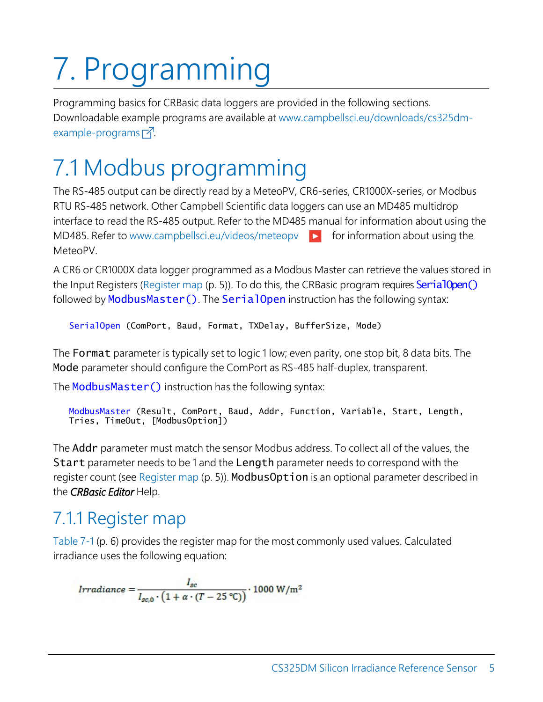# <span id="page-9-0"></span>7. Programming

Programming basics for CRBasic data loggers are provided in the following sections. Downloadable example programs are available at www.campbellsci.eu[/downloads/cs325dm](https://www.campbellsci.com/downloads/cs325dm-example-programs)[example-programs](https://www.campbellsci.com/downloads/cs325dm-example-programs)  $\overline{A}$ .

# <span id="page-9-1"></span>7.1 Modbus programming

The RS-485 output can be directly read by a MeteoPV, CR6-series, CR1000X-series, or Modbus RTU RS-485 network. Other Campbell Scientific data loggers can use an MD485 multidrop interface to read the RS-485 output. Refer to the MD485 manual for information about using the MD485. Refer to [www.campbellsci.](http://www.campbellsci.com/videos/meteopv)eu/videos/meteopy  $\blacktriangleright$  for information about using the MeteoPV.

A CR6 or CR1000X data logger programmed as a Modbus Master can retrieve the values stored in the Input Registers [\(Register](#page-9-2) map (p. 5)). To do this, the CRBasic program requires **SerialOpen()** followed by ModbusMaster(). The SerialOpen instruction has the following syntax:

SerialOpen (ComPort, Baud, Format, TXDelay, BufferSize, Mode)

The Format parameter is typically set to logic 1 low; even parity, one stop bit, 8 data bits. The Mode parameter should configure the ComPort as RS-485 half-duplex, transparent.

The ModbusMaster () instruction has the following syntax:

```
ModbusMaster (Result, ComPort, Baud, Addr, Function, Variable, Start, Length,
Tries, TimeOut, [ModbusOption])
```
The Addr parameter must match the sensor Modbus address. To collect all of the values, the Start parameter needs to be 1 and the Length parameter needs to correspond with the register count (see [Register map](#page-9-2) (p. 5)). ModbusOption is an optional parameter described in the *CRBasic Editor* Help.

# <span id="page-9-2"></span>7.1.1 Register map

[Table 7-1](#page-10-1) (p. 6) provides the register map for the most commonly used values. Calculated irradiance uses the following equation:

$$
Irradiance = \frac{I_{sc}}{I_{sc,0} \cdot \left(1 + \alpha \cdot (T - 25 \text{ °C})\right)} \cdot 1000 \text{ W/m}^2
$$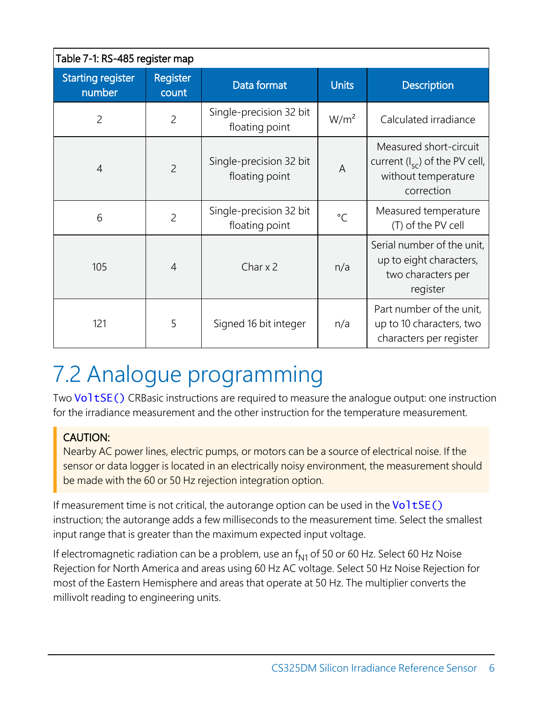<span id="page-10-1"></span>

| Table 7-1: RS-485 register map     |                   |                                           |                  |                                                                                                   |
|------------------------------------|-------------------|-------------------------------------------|------------------|---------------------------------------------------------------------------------------------------|
| <b>Starting register</b><br>number | Register<br>count | Data format                               | <b>Units</b>     | <b>Description</b>                                                                                |
| $\overline{2}$                     | $\overline{2}$    | Single-precision 32 bit<br>floating point | W/m <sup>2</sup> | Calculated irradiance                                                                             |
| $\overline{4}$                     | $\overline{2}$    | Single-precision 32 bit<br>floating point | $\overline{A}$   | Measured short-circuit<br>current $(l_{sc})$ of the PV cell,<br>without temperature<br>correction |
| 6                                  | $\overline{2}$    | Single-precision 32 bit<br>floating point | $\circ$ C        | Measured temperature<br>(T) of the PV cell                                                        |
| 105                                | $\overline{4}$    | Char $\times$ 2                           | n/a              | Serial number of the unit,<br>up to eight characters,<br>two characters per<br>register           |
| 121                                | 5                 | Signed 16 bit integer                     | n/a              | Part number of the unit,<br>up to 10 characters, two<br>characters per register                   |

# <span id="page-10-0"></span>7.2 Analogue programming

Two VoltSE() CRBasic instructions are required to measure the analogue output: one instruction for the irradiance measurement and the other instruction for the temperature measurement.

# CAUTION:

Nearby AC power lines, electric pumps, or motors can be a source of electrical noise. If the sensor or data logger is located in an electrically noisy environment, the measurement should be made with the 60 or 50 Hz rejection integration option.

If measurement time is not critical, the autorange option can be used in the  $Vol$  tsec.) instruction; the autorange adds a few milliseconds to the measurement time. Select the smallest input range that is greater than the maximum expected input voltage.

If electromagnetic radiation can be a problem, use an  $f_{N1}$  of 50 or 60 Hz. Select 60 Hz Noise Rejection for North America and areas using 60 Hz AC voltage. Select 50 Hz Noise Rejection for most of the Eastern Hemisphere and areas that operate at 50 Hz. The multiplier converts the millivolt reading to engineering units.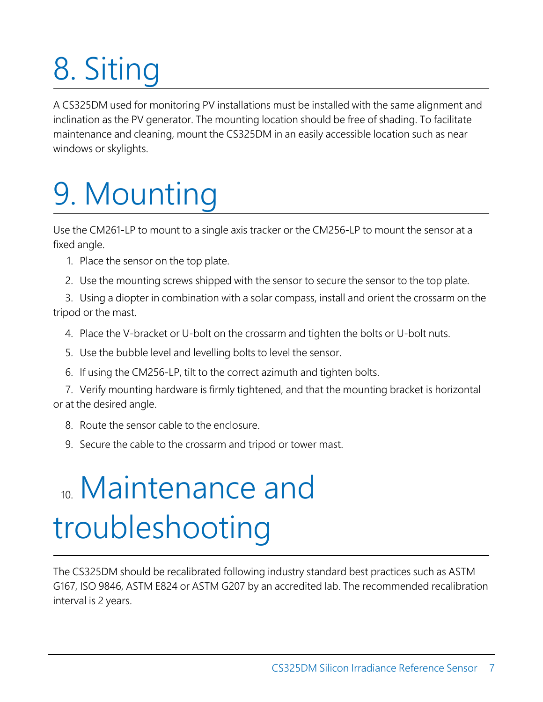# <span id="page-11-0"></span>8. Siting

<span id="page-11-1"></span>A CS325DM used for monitoring PV installations must be installed with the same alignment and inclination as the PV generator. The mounting location should be free of shading. To facilitate maintenance and cleaning, mount the CS325DM in an easily accessible location such as near windows or skylights.

# 9. Mounting

Use the CM261-LP to mount to a single axis tracker or the CM256-LP to mount the sensor at a fixed angle.

- 1. Place the sensor on the top plate.
- 2. Use the mounting screws shipped with the sensor to secure the sensor to the top plate.

3. Using a diopter in combination with a solar compass, install and orient the crossarm on the tripod or the mast.

- 4. Place the V-bracket or U-bolt on the crossarm and tighten the bolts or U-bolt nuts.
- 5. Use the bubble level and levelling bolts to level the sensor.
- 6. If using the CM256-LP, tilt to the correct azimuth and tighten bolts.

7. Verify mounting hardware is firmly tightened, and that the mounting bracket is horizontal or at the desired angle.

- 8. Route the sensor cable to the enclosure.
- <span id="page-11-2"></span>9. Secure the cable to the crossarm and tripod or tower mast.

# <sup>10</sup>. Maintenance and troubleshooting

The CS325DM should be recalibrated following industry standard best practices such as ASTM G167, ISO 9846, ASTM E824 or ASTM G207 by an accredited lab. The recommended recalibration interval is 2 years.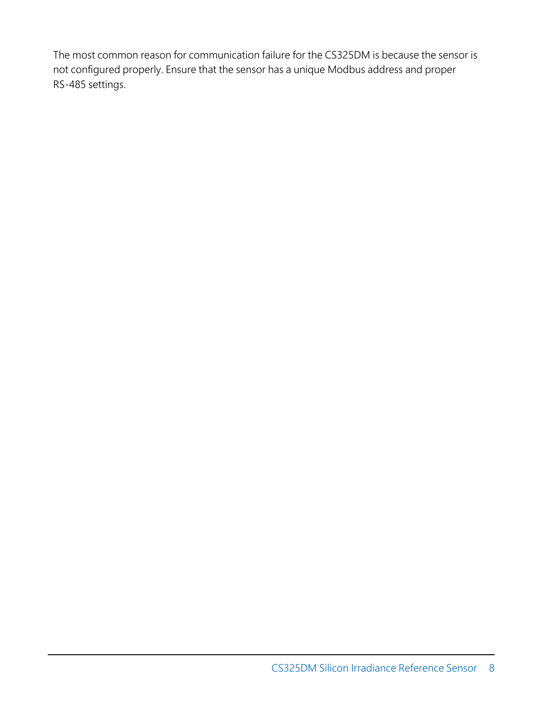The most common reason for communication failure for the CS325DM is because the sensor is not configured properly. Ensure that the sensor has a unique Modbus address and proper RS-485 settings.